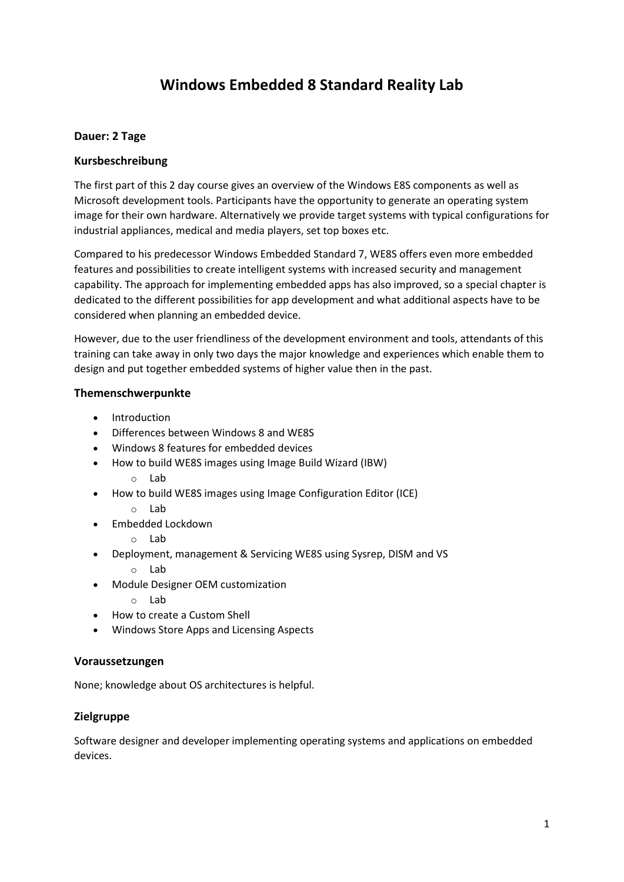# **Windows Embedded 8 Standard Reality Lab**

# **Dauer: 2 Tage**

# **Kursbeschreibung**

The first part of this 2 day course gives an overview of the Windows E8S components as well as Microsoft development tools. Participants have the opportunity to generate an operating system image for their own hardware. Alternatively we provide target systems with typical configurations for industrial appliances, medical and media players, set top boxes etc.

Compared to his predecessor Windows Embedded Standard 7, WE8S offers even more embedded features and possibilities to create intelligent systems with increased security and management capability. The approach for implementing embedded apps has also improved, so a special chapter is dedicated to the different possibilities for app development and what additional aspects have to be considered when planning an embedded device.

However, due to the user friendliness of the development environment and tools, attendants of this training can take away in only two days the major knowledge and experiences which enable them to design and put together embedded systems of higher value then in the past.

#### **Themenschwerpunkte**

- Introduction
- Differences between Windows 8 and WE8S
- Windows 8 features for embedded devices
- How to build WE8S images using Image Build Wizard (IBW)
	- o Lab
- How to build WE8S images using Image Configuration Editor (ICE)
	- o Lab
- Embedded Lockdown
	- o Lab
- Deployment, management & Servicing WE8S using Sysrep, DISM and VS
	- o Lab
- Module Designer OEM customization
	- o Lab
- How to create a Custom Shell
- Windows Store Apps and Licensing Aspects

#### **Voraussetzungen**

None; knowledge about OS architectures is helpful.

# **Zielgruppe**

Software designer and developer implementing operating systems and applications on embedded devices.